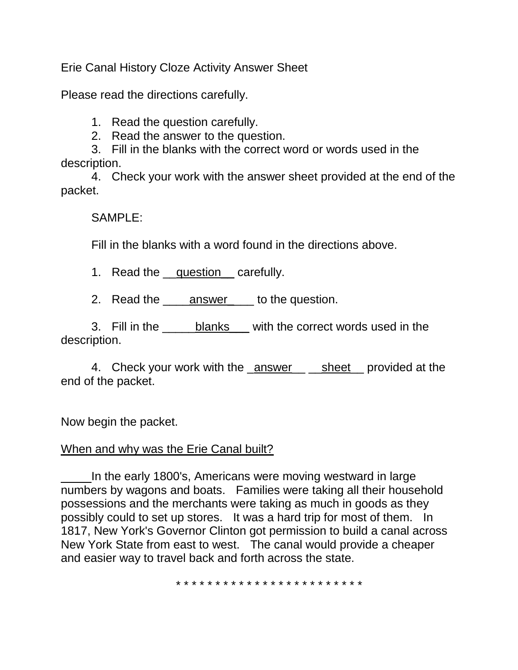Erie Canal History Cloze Activity Answer Sheet

Please read the directions carefully.

1. Read the question carefully.

2. Read the answer to the question.

3. Fill in the blanks with the correct word or words used in the description.

4. Check your work with the answer sheet provided at the end of the packet.

SAMPLE:

Fill in the blanks with a word found in the directions above.

1. Read the question carefully.

2. Read the answer to the question.

3. Fill in the blanks with the correct words used in the description.

4. Check your work with the answer sheet provided at the end of the packet.

Now begin the packet.

## When and why was the Erie Canal built?

In the early 1800's, Americans were moving westward in large numbers by wagons and boats. Families were taking all their household possessions and the merchants were taking as much in goods as they possibly could to set up stores. It was a hard trip for most of them. In 1817, New York's Governor Clinton got permission to build a canal across New York State from east to west. The canal would provide a cheaper and easier way to travel back and forth across the state.

\* \* \* \* \* \* \* \* \* \* \* \* \* \* \* \* \* \* \* \* \* \* \* \*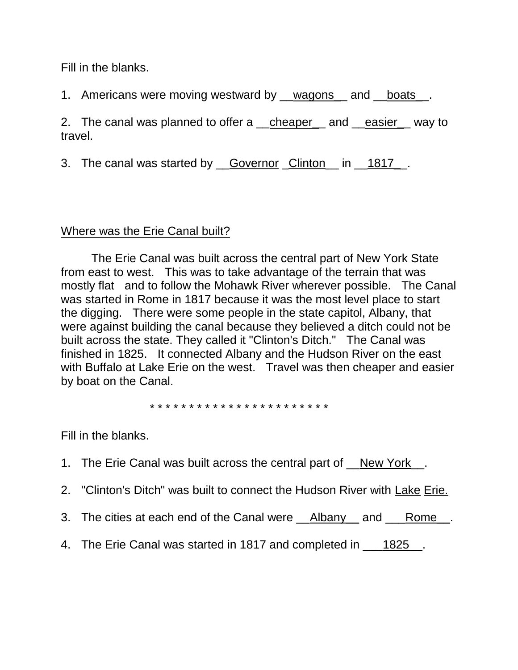Fill in the blanks.

1. Americans were moving westward by \_\_wagons\_\_ and \_\_boats\_\_.

2. The canal was planned to offer a \_\_cheaper\_\_ and \_\_easier\_\_ way to travel.

3. The canal was started by <u>Governor Clinton</u> in 1817.

# Where was the Erie Canal built?

The Erie Canal was built across the central part of New York State from east to west. This was to take advantage of the terrain that was mostly flat and to follow the Mohawk River wherever possible. The Canal was started in Rome in 1817 because it was the most level place to start the digging. There were some people in the state capitol, Albany, that were against building the canal because they believed a ditch could not be built across the state. They called it "Clinton's Ditch." The Canal was finished in 1825. It connected Albany and the Hudson River on the east with Buffalo at Lake Erie on the west. Travel was then cheaper and easier by boat on the Canal.

\* \* \* \* \* \* \* \* \* \* \* \* \* \* \* \* \* \* \* \* \* \* \*

Fill in the blanks.

- 1. The Erie Canal was built across the central part of New York \_\_.
- 2. "Clinton's Ditch" was built to connect the Hudson River with Lake Erie.
- 3. The cities at each end of the Canal were **\_\_Albany** and \_\_\_Rome\_\_.
- 4. The Erie Canal was started in 1817 and completed in \_\_\_1825\_.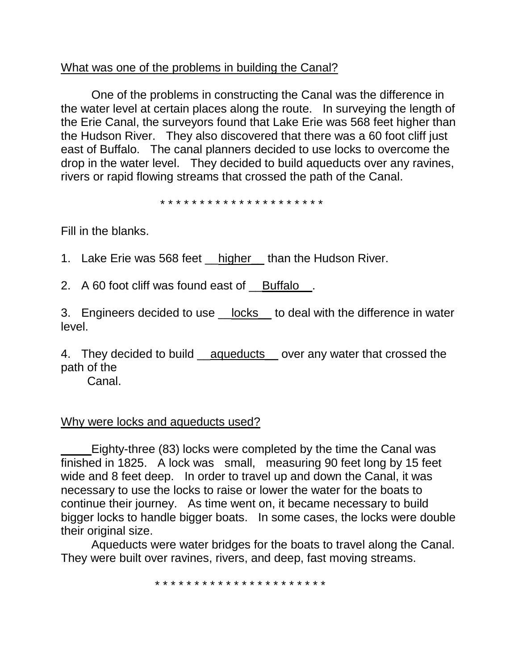## What was one of the problems in building the Canal?

One of the problems in constructing the Canal was the difference in the water level at certain places along the route. In surveying the length of the Erie Canal, the surveyors found that Lake Erie was 568 feet higher than the Hudson River. They also discovered that there was a 60 foot cliff just east of Buffalo. The canal planners decided to use locks to overcome the drop in the water level. They decided to build aqueducts over any ravines, rivers or rapid flowing streams that crossed the path of the Canal.

\* \* \* \* \* \* \* \* \* \* \* \* \* \* \* \* \* \* \* \* \*

Fill in the blanks.

1. Lake Erie was 568 feet higher than the Hudson River.

2. A 60 foot cliff was found east of Buffalo.

3. Engineers decided to use locks to deal with the difference in water level.

4. They decided to build \_\_aqueducts\_\_ over any water that crossed the path of the

Canal.

### Why were locks and aqueducts used?

Eighty-three (83) locks were completed by the time the Canal was finished in 1825. A lock was small, measuring 90 feet long by 15 feet wide and 8 feet deep. In order to travel up and down the Canal, it was necessary to use the locks to raise or lower the water for the boats to continue their journey. As time went on, it became necessary to build bigger locks to handle bigger boats. In some cases, the locks were double their original size.

Aqueducts were water bridges for the boats to travel along the Canal. They were built over ravines, rivers, and deep, fast moving streams.

\* \* \* \* \* \* \* \* \* \* \* \* \* \* \* \* \* \* \* \* \* \*